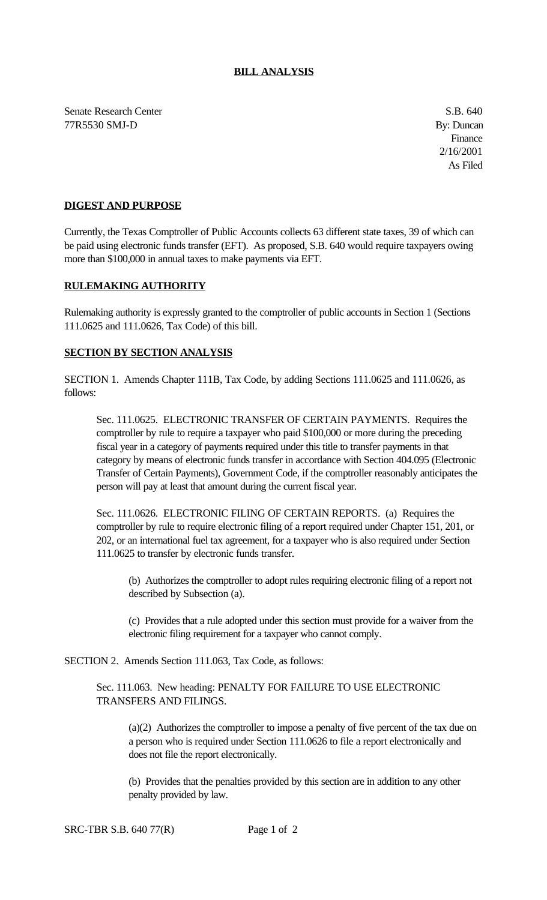Senate Research Center S.B. 640 77R5530 SMJ-D By: Duncan

## **DIGEST AND PURPOSE**

Currently, the Texas Comptroller of Public Accounts collects 63 different state taxes, 39 of which can be paid using electronic funds transfer (EFT). As proposed, S.B. 640 would require taxpayers owing more than \$100,000 in annual taxes to make payments via EFT.

## **RULEMAKING AUTHORITY**

Rulemaking authority is expressly granted to the comptroller of public accounts in Section 1 (Sections 111.0625 and 111.0626, Tax Code) of this bill.

## **SECTION BY SECTION ANALYSIS**

SECTION 1. Amends Chapter 111B, Tax Code, by adding Sections 111.0625 and 111.0626, as follows:

Sec. 111.0625. ELECTRONIC TRANSFER OF CERTAIN PAYMENTS. Requires the comptroller by rule to require a taxpayer who paid \$100,000 or more during the preceding fiscal year in a category of payments required under this title to transfer payments in that category by means of electronic funds transfer in accordance with Section 404.095 (Electronic Transfer of Certain Payments), Government Code, if the comptroller reasonably anticipates the person will pay at least that amount during the current fiscal year.

Sec. 111.0626. ELECTRONIC FILING OF CERTAIN REPORTS. (a) Requires the comptroller by rule to require electronic filing of a report required under Chapter 151, 201, or 202, or an international fuel tax agreement, for a taxpayer who is also required under Section 111.0625 to transfer by electronic funds transfer.

(b) Authorizes the comptroller to adopt rules requiring electronic filing of a report not described by Subsection (a).

(c) Provides that a rule adopted under this section must provide for a waiver from the electronic filing requirement for a taxpayer who cannot comply.

SECTION 2. Amends Section 111.063, Tax Code, as follows:

## Sec. 111.063. New heading: PENALTY FOR FAILURE TO USE ELECTRONIC TRANSFERS AND FILINGS.

(a)(2) Authorizes the comptroller to impose a penalty of five percent of the tax due on a person who is required under Section 111.0626 to file a report electronically and does not file the report electronically.

(b) Provides that the penalties provided by this section are in addition to any other penalty provided by law.